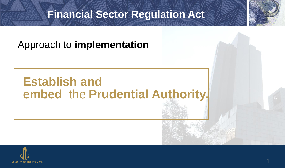#### **Financial Sector Regulation Act**

#### Approach to **implementation**

### **Establish and embed** the **Prudential Authority.**

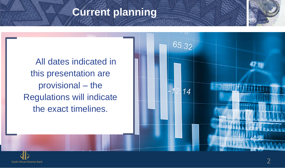#### **Current planning**



All dates indicated in this presentation are provisional – the Regulations will indicate the exact timelines.



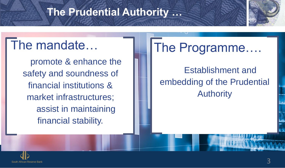#### **The Prudential Authority …**

## The mandate…

promote & enhance the safety and soundness of financial institutions & market infrastructures; assist in maintaining financial stability.

# The Programme….

Establishment and embedding of the Prudential Authority

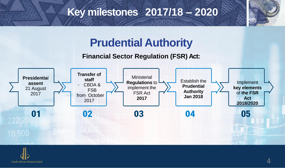#### **Key milestones 2017/18 – 2020**



### **Prudential Authority**

#### **Financial Sector Regulation (FSR) Act:**



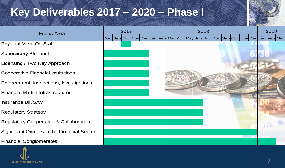### **Key Deliverables 2017 – 2020 – Phase I**



| <b>Focus Area</b>                                 | 2017 | 2018                                                                            | 2019 |
|---------------------------------------------------|------|---------------------------------------------------------------------------------|------|
|                                                   |      | Aug Sep Oct Nov Dec Jan Feb Mar Apr May Jun Jul Aug Sep Oct Nov Dec Jan Feb Mar |      |
| Physical Move Of Staff                            |      |                                                                                 |      |
| <b>Supervisory Blueprint</b>                      |      |                                                                                 |      |
| Licensing / Two Key Approach                      |      |                                                                                 |      |
| <b>Cooperative Financial Institutions</b>         |      |                                                                                 |      |
| Enforcement, Inspections, Investigations          |      |                                                                                 |      |
| <b>Financial Market Infrastructures</b>           |      |                                                                                 |      |
| <b>Insurance Bill/SAM</b>                         |      |                                                                                 |      |
| <b>Regulatory Strategy</b>                        |      |                                                                                 |      |
| <b>Regulatory Cooperation &amp; Collaboration</b> |      |                                                                                 |      |
| Significant Owners in the Financial Sector        |      |                                                                                 |      |
| <b>Financial Conglomerates</b>                    |      |                                                                                 |      |
|                                                   |      |                                                                                 |      |

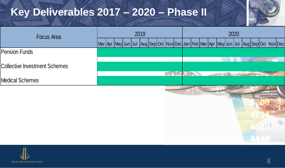### **Key Deliverables 2017 – 2020 – Phase II**



| Focus Area                           | 2019 | 2020                                                                                      |  |  |
|--------------------------------------|------|-------------------------------------------------------------------------------------------|--|--|
|                                      |      | Mar Apr May Jun Jul  Aug Sep Oct Nov Dec Jan Feb Mar Apr May Jun Jul  Aug Sep Oct_Nov Dec |  |  |
| <b>Pension Funds</b>                 |      |                                                                                           |  |  |
| <b>Collective Investment Schemes</b> |      |                                                                                           |  |  |
| <b>Medical Schemes</b>               |      | <b>SCULPS</b>                                                                             |  |  |
|                                      |      |                                                                                           |  |  |

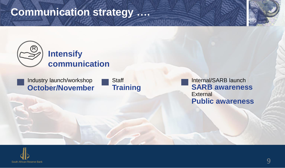#### **Communication strategy ….**





Internal/SARB launch **SARB awareness External Public awareness**